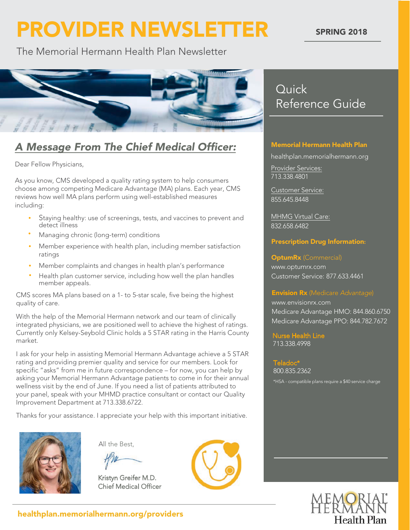# **PROVIDER NEWSLETTER**

#### **SPRING 2018**

The Memorial Hermann Health Plan Newsletter



### A Message From The Chief Medical Officer:

Dear Fellow Physicians,

As you know, CMS developed a quality rating system to help consumers choose among competing Medicare Advantage (MA) plans. Each year, CMS reviews how well MA plans perform using well-established measures including:

- Staying healthy: use of screenings, tests, and vaccines to prevent and detect illness •
- Managing chronic (long-term) conditions
- Member experience with health plan, including member satisfaction ratings •
- Member complaints and changes in health plan's performance •
- Health plan customer service, including how well the plan handles member appeals •

CMS scores MA plans based on a 1- to 5-star scale, five being the highest quality of care.

With the help of the Memorial Hermann network and our team of clinically integrated physicians, we are positioned well to achieve the highest of ratings Currently only Kelsey-Seybold Clinic holds a 5 STAR rating in the Harris County market

I ask for your help in assisting Memorial Hermann Advantage achieve a 5 STAR rating and providing premier quality and service for our members. Look for specific "asks" from me in future correspondence - for now, you can help by asking your Memorial Hermann Advantage patients to come in for their annual wellness visit by the end of June. If you need a list of patients attributed to your panel, speak with your MHMD practice consultant or contact our Quality Improvement Department at 713.338.6722.

Thanks for your assistance. I appreciate your help with this important initiative.



All the Best,

Kristyn Greifer M.D. **Chief Medical Officer** 



### Quick Reference Guide

#### Memorial Hermann Health Plan

healthplan.memorialhermann.org

Provider Services: 713.338.4801

Customer Service: 855.645.8448

MHMG Virtual Care: 832.658.6482

#### Prescription Drug Information**:**

#### **OptumRx** (Commercial)

www.optumrx.com Customer Service: 877.633.4461

#### **Envision Rx** (Medicare Advantage)

www.envisionrx.com Medicare Advantage HMO: 844.860.6750 Medicare Advantage PPO: 844.782.7672

Nurse Health Line 713.338.4998

Teladoc 800.835.2362 \*HSA - compatible plans require a \$40 service charge

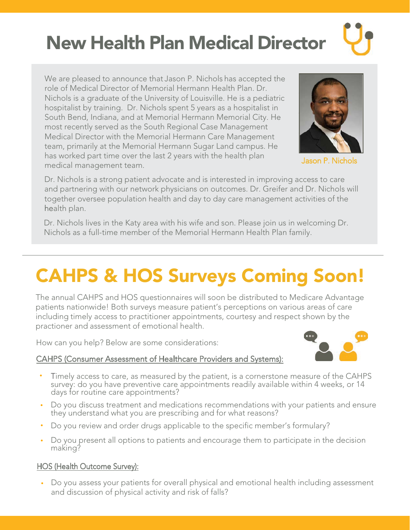### New Health Plan Medical Director

We are pleased to announce that Jason P. Nichols has accepted the role of Medical Director of Memorial Hermann Health Plan. Dr. Nichols is a graduate of the University of Louisville. He is a pediatric hospitalist by training. Dr. Nichols spent 5 years as a hospitalist in South Bend, Indiana, and at Memorial Hermann Memorial City. He most recently served as the South Regional Case Management Medical Director with the Memorial Hermann Care Management team, primarily at the Memorial Hermann Sugar Land campus. He has worked part time over the last 2 years with the health plan medical management team



Jason P. Nichols

Dr. Nichols is a strong patient advocate and is interested in improving access to care and partnering with our network physicians on outcomes. Dr. Greifer and Dr. Nichols will together oversee population health and day to day care management activities of the health plan.

Dr. Nichols lives in the Katy area with his wife and son. Please join us in welcoming Dr. Nichols as a full-time member of the Memorial Hermann Health Plan family.

### CAHPS & HOS Surveys Coming Soon!

The annual CAHPS and HOS questionnaires will soon be distributed to Medicare Advantage patients nationwide! Both surveys measure patient's perceptions on various areas of care including timely access to practitioner appointments, courtesy and respect shown by the practioner and assessment of emotional health

How can you help? Below are some considerations:

#### CAHPS (Consumer Assessment of Healthcare Providers and Systems):



- Timely access to care, as measured by the patient, is a cornerstone measure of the CAHPS survey: do you have preventive care appointments readily available within 4 weeks, or 14 days for routine care appointments? •
- Do you discuss treatment and medications recommendations with your patients and ensure they understand what you are prescribing and for what reasons? •
- Do you review and order drugs applicable to the specific member's formulary? •
- Do you present all options to patients and encourage them to participate in the decision making?

### HOS (Health Outcome Survey):

Do you assess your patients for overall physical and emotional health including assessment • and discussion of physical activity and risk of falls?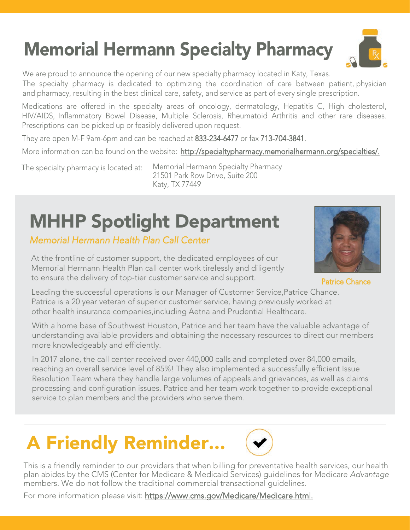## **Memorial Hermann Specialty Pharmacy**

We are proud to announce the opening of our new specialty pharmacy located in Katy, Texas.

The specialty pharmacy is dedicated to optimizing the coordination of care between patient, physician and pharmacy, resulting in the best clinical care, safety, and service as part of every single prescription.

Medications are offered in the specialty areas of oncology, dermatology, Hepatitis C, High cholesterol, HIV/AIDS, Inflammatory Bowel Disease, Multiple Sclerosis, Rheumatoid Arthritis and other rare diseases. Prescriptions can be picked up or feasibly delivered upon request.

They are open M-F 9am-6pm and can be reached at 833-234-6477 or fax 713-704-3841.

More information can be found on the website: http://specialtypharmacy.memorialhermann.org/specialties/.

The specialty pharmacy is located at:

Memorial Hermann Specialty Pharmacy 21501 Park Row Drive, Suite 200 Katy, TX 77449

## **MHHP Spotlight Department**

Memorial Hermann Health Plan Call Center

At the frontline of customer support, the dedicated employees of our Memorial Hermann Health Plan call center work tirelessly and diligently to ensure the delivery of top-tier customer service and support.

Patrice Chance

Leading the successful operations is our Manager of Customer Service, Patrice Chance. Patrice is a 20 year veteran of superior customer service, having previously worked at other health insurance companies,including Aetna and Prudential Healthcare

With a home base of Southwest Houston, Patrice and her team have the valuable advantage of understanding available providers and obtaining the necessary resources to direct our members more knowledgeably and efficiently

In 2017 alone, the call center received over 440,000 calls and completed over 84,000 emails, reaching an overall service level of 85%! They also implemented a successfully efficient Issue Resolution Team where they handle large volumes of appeals and grievances, as well as claims processing and configuration issues. Patrice and her team work together to provide exceptional service to plan members and the providers who serve them.

## A Friendly Reminder...



This is a friendly reminder to our providers that when billing for preventative health services, our health plan abides by the CMS (Center for Medicare & Medicaid Services) guidelines for Medicare Advantage members. We do not follow the traditional commercial transactional quidelines.

For more information please visit: https://www.cms.gov/Medicare/Medicare.html.